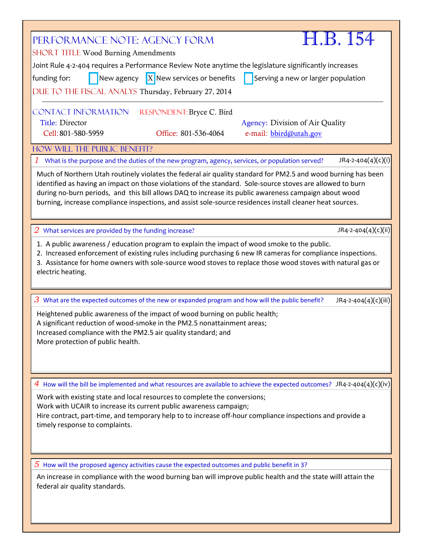| PERFORMANCE NOTE: AGENCY FORM<br><b>SHORT TITLE Wood Burning Amendments</b>                                                                                                                                                                                                                                                      | H.B. 154                           |  |  |  |  |
|----------------------------------------------------------------------------------------------------------------------------------------------------------------------------------------------------------------------------------------------------------------------------------------------------------------------------------|------------------------------------|--|--|--|--|
|                                                                                                                                                                                                                                                                                                                                  |                                    |  |  |  |  |
| Joint Rule 4-2-404 requires a Performance Review Note anytime the legislature significantly increases                                                                                                                                                                                                                            |                                    |  |  |  |  |
| New agency $\boxed{X}$ New services or benefits<br>funding for:                                                                                                                                                                                                                                                                  | Serving a new or larger population |  |  |  |  |
| DUE TO THE FISCAL ANALYS Thursday, February 27, 2014                                                                                                                                                                                                                                                                             |                                    |  |  |  |  |
|                                                                                                                                                                                                                                                                                                                                  |                                    |  |  |  |  |
| <b>CONTACT INFORMATION</b><br>RESPONDENT: Bryce C. Bird                                                                                                                                                                                                                                                                          |                                    |  |  |  |  |
| Title: Director                                                                                                                                                                                                                                                                                                                  | Agency: Division of Air Quality    |  |  |  |  |
| Office: 801-536-4064<br>Cell: 801-580-5959                                                                                                                                                                                                                                                                                       |                                    |  |  |  |  |
|                                                                                                                                                                                                                                                                                                                                  | e-mail: bbird@utah.gov             |  |  |  |  |
| HOW WILL THE PUBLIC BENEFIT?                                                                                                                                                                                                                                                                                                     |                                    |  |  |  |  |
| What is the purpose and the duties of the new program, agency, services, or population served?                                                                                                                                                                                                                                   | $JR4-2-404(4)(c)(i)$               |  |  |  |  |
| Much of Northern Utah routinely violates the federal air quality standard for PM2.5 and wood burning has been                                                                                                                                                                                                                    |                                    |  |  |  |  |
| identified as having an impact on those violations of the standard. Sole-source stoves are allowed to burn<br>during no-burn periods, and this bill allows DAQ to increase its public awareness campaign about wood<br>burning, increase compliance inspections, and assist sole-source residences install cleaner heat sources. |                                    |  |  |  |  |
| What services are provided by the funding increase?<br>$\overline{2}$                                                                                                                                                                                                                                                            | JR4-2-404(4)(c)(ii)                |  |  |  |  |
| 1. A public awareness / education program to explain the impact of wood smoke to the public.                                                                                                                                                                                                                                     |                                    |  |  |  |  |
| 2. Increased enforcement of existing rules including purchasing 6 new IR cameras for compliance inspections.                                                                                                                                                                                                                     |                                    |  |  |  |  |
| 3. Assistance for home owners with sole-source wood stoves to replace those wood stoves with natural gas or                                                                                                                                                                                                                      |                                    |  |  |  |  |
| electric heating.                                                                                                                                                                                                                                                                                                                |                                    |  |  |  |  |
|                                                                                                                                                                                                                                                                                                                                  |                                    |  |  |  |  |
| $3$ What are the expected outcomes of the new or expanded program and how will the public benefit?                                                                                                                                                                                                                               | JR4-2-404(4)(c)(iii)               |  |  |  |  |
|                                                                                                                                                                                                                                                                                                                                  |                                    |  |  |  |  |
| Heightened public awareness of the impact of wood burning on public health;<br>A significant reduction of wood-smoke in the PM2.5 nonattainment areas;                                                                                                                                                                           |                                    |  |  |  |  |
| Increased compliance with the PM2.5 air quality standard; and                                                                                                                                                                                                                                                                    |                                    |  |  |  |  |
| More protection of public health.                                                                                                                                                                                                                                                                                                |                                    |  |  |  |  |
|                                                                                                                                                                                                                                                                                                                                  |                                    |  |  |  |  |
|                                                                                                                                                                                                                                                                                                                                  |                                    |  |  |  |  |
|                                                                                                                                                                                                                                                                                                                                  |                                    |  |  |  |  |
| 4 How will the bill be implemented and what resources are available to achieve the expected outcomes? JR4-2-404(4)(c)(iv)                                                                                                                                                                                                        |                                    |  |  |  |  |
| Work with existing state and local resources to complete the conversions;                                                                                                                                                                                                                                                        |                                    |  |  |  |  |
| Work with UCAIR to increase its current public awareness campaign;                                                                                                                                                                                                                                                               |                                    |  |  |  |  |
| Hire contract, part-time, and temporary help to to increase off-hour compliance inspections and provide a                                                                                                                                                                                                                        |                                    |  |  |  |  |
| timely response to complaints.                                                                                                                                                                                                                                                                                                   |                                    |  |  |  |  |
|                                                                                                                                                                                                                                                                                                                                  |                                    |  |  |  |  |
|                                                                                                                                                                                                                                                                                                                                  |                                    |  |  |  |  |
|                                                                                                                                                                                                                                                                                                                                  |                                    |  |  |  |  |
| $5$ How will the proposed agency activities cause the expected outcomes and public benefit in 3?                                                                                                                                                                                                                                 |                                    |  |  |  |  |
| An increase in compliance with the wood burning ban will improve public health and the state willl attain the                                                                                                                                                                                                                    |                                    |  |  |  |  |
| federal air quality standards.                                                                                                                                                                                                                                                                                                   |                                    |  |  |  |  |
|                                                                                                                                                                                                                                                                                                                                  |                                    |  |  |  |  |